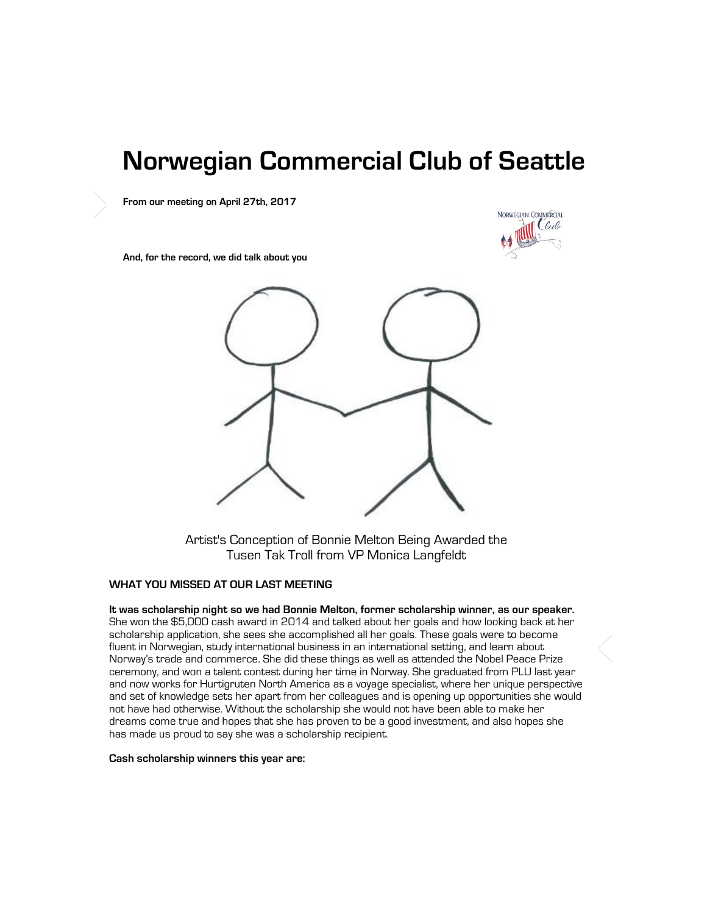# **Norwegian Commercial Club of Seattle**

**From our meeting on April 27th, 2017** 



**And, for the record, we did talk about you** 



Artist's Conception of Bonnie Melton Being Awarded the Tusen Tak Troll from VP Monica Langfeldt

### **WHAT YOU MISSED AT OUR LAST MEETING**

**It was scholarship night so we had Bonnie Melton, former scholarship winner, as our speaker.**  She won the \$5,000 cash award in 2014 and talked about her goals and how looking back at her scholarship application, she sees she accomplished all her goals. These goals were to become fluent in Norwegian, study international business in an international setting, and learn about Norway's trade and commerce. She did these things as well as attended the Nobel Peace Prize ceremony, and won a talent contest during her time in Norway. She graduated from PLU last year and now works for Hurtigruten North America as a voyage specialist, where her unique perspective and set of knowledge sets her apart from her colleagues and is opening up opportunities she would not have had otherwise. Without the scholarship she would not have been able to make her dreams come true and hopes that she has proven to be a good investment, and also hopes she has made us proud to say she was a scholarship recipient.

#### **Cash scholarship winners this year are:**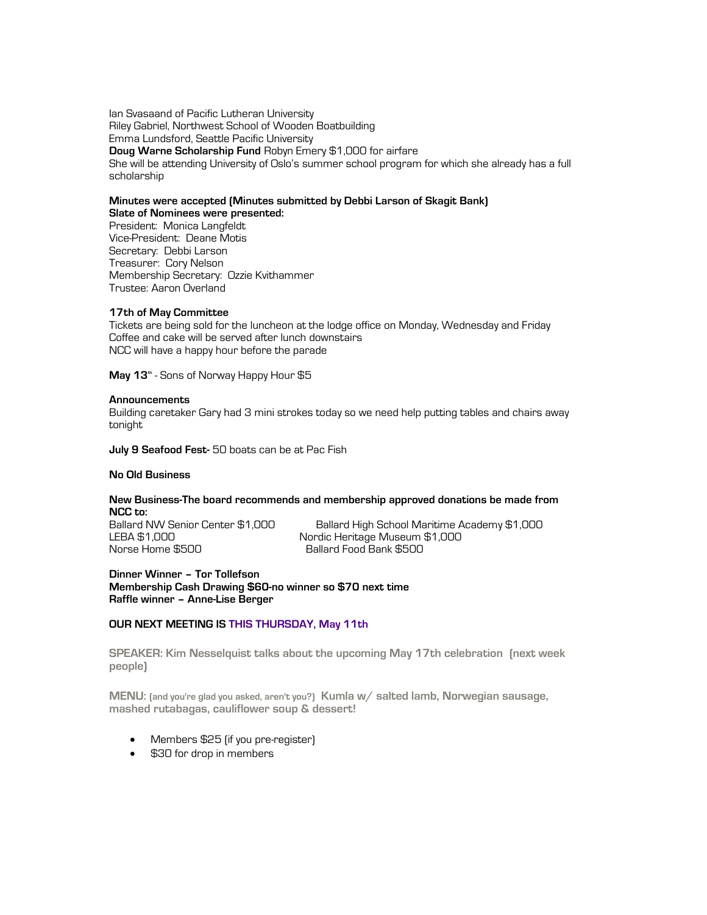Ian Svasaand of Pacific Lutheran University Riley Gabriel, Northwest School of Wooden Boatbuilding Emma Lundsford, Seattle Pacific University **Doug Warne Scholarship Fund** Robyn Emery \$1,000 for airfare She will be attending University of Oslo's summer school program for which she already has a full scholarship

#### **Minutes were accepted (Minutes submitted by Debbi Larson of Skagit Bank) Slate of Nominees were presented:**

President: Monica Langfeldt Vice-President: Deane Motis Secretary: Debbi Larson Treasurer: Cory Nelson Membership Secretary: Ozzie Kvithammer Trustee: Aaron Overland

#### **17th of May Committee**

Tickets are being sold for the luncheon at the lodge office on Monday, Wednesday and Friday Coffee and cake will be served after lunch downstairs NCC will have a happy hour before the parade

**May 13th** - Sons of Norway Happy Hour \$5

#### **Announcements**

Building caretaker Gary had 3 mini strokes today so we need help putting tables and chairs away tonight

**July 9 Seafood Fest-** 50 boats can be at Pac Fish

#### **No Old Business**

## **New Business-The board recommends and membership approved donations be made from NCC to:**

Ballard NW Senior Center \$1,000 Ballard High School Maritime Academy \$1,000 LEBA \$1,000 Nordic Heritage Museum \$1,000 Ballard Food Bank \$500

**Dinner Winner – Tor Tollefson Membership Cash Drawing \$60-no winner so \$70 next time Raffle winner – Anne-Lise Berger**

#### **OUR NEXT MEETING IS THIS THURSDAY, May 11th**

**SPEAKER: Kim Nesselquist talks about the upcoming May 17th celebration (next week people)**

**MENU: (and you're glad you asked, aren't you?) Kumla w/ salted lamb, Norwegian sausage, mashed rutabagas, cauliflower soup & dessert!** 

- Members \$25 (if you pre-register)
- \$30 for drop in members